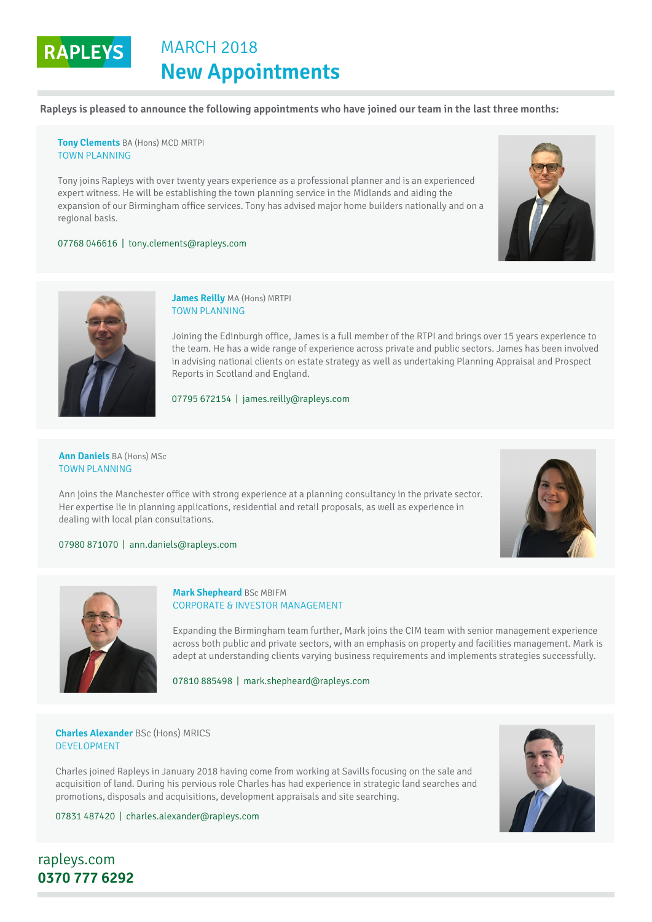# **RAPLEYS** MARCH 2018 **New Appointments**

**Rapleys is pleased to announce the following appointments who have joined our team in the last three months:**

**[Tony Clements](https://rapleys.com/teammember/natasha-bray/)** BA (Hons) MCD MRTPI TOWN PLANNING

Tony joins Rapleys with over twenty years experience as a professional planner and is an experienced expert witness. He will be establishing the town planning service in the Midlands and aiding the expansion of our Birmingham office services. Tony has advised major home builders nationally and on a regional basis.

07768 046616 | [tony.clements@rapleys.com](mailto:tony.clements@rapleys.com)





### **James Reilly** MA (Hons) MRTPI TOWN PLANNING

Joining the Edinburgh office, James is a full member of the RTPI and brings over 15 years experience to the team. He has a wide range of experience across private and public sectors. James has been involved in advising national clients on estate strategy as well as undertaking Planning Appraisal and Prospect Reports in Scotland and England.

### 07795 672154 | [james.reilly@rapleys.com](mailto:james.reilly@rapleys.com)

**[Ann Daniels](https://rapleys.com/teammember/natasha-bray/)** BA (Hons) MSc TOWN PLANNING

Ann joins the Manchester office with strong experience at a planning consultancy in the private sector. Her expertise lie in planning applications, residential and retail proposals, as well as experience in dealing with local plan consultations.



## 07980 871070 | [ann.daniels@rapleys.com](mailto:ann.daniels@rapleys.com)



# **Mark Shepheard** BSc MBIFM CORPORATE & INVESTOR MANAGEMENT

Expanding the Birmingham team further, Mark joins the CIM team with senior management experience across both public and private sectors, with an emphasis on property and facilities management. Mark is adept at understanding clients varying business requirements and implements strategies successfully.

07810 885498 | [mark.shepheard@rapleys.com](mailto:mark.shepheard@rapleys.com)

## **[Charles Alexander](https://rapleys.com/teammember/lisa-stutely/)** BSc (Hons) MRICS DEVELOPMENT

Charles joined Rapleys in January 2018 having come from working at Savills focusing on the sale and acquisition of land. During his pervious role Charles has had experience in strategic land searches and promotions, disposals and acquisitions, development appraisals and site searching.



07831 487420 | [charles.alexander@rapleys.com](mailto:charles.alexander@rapleys.com)

[rapleys.com](http://www.rapleys.com) **0370 777 6292**